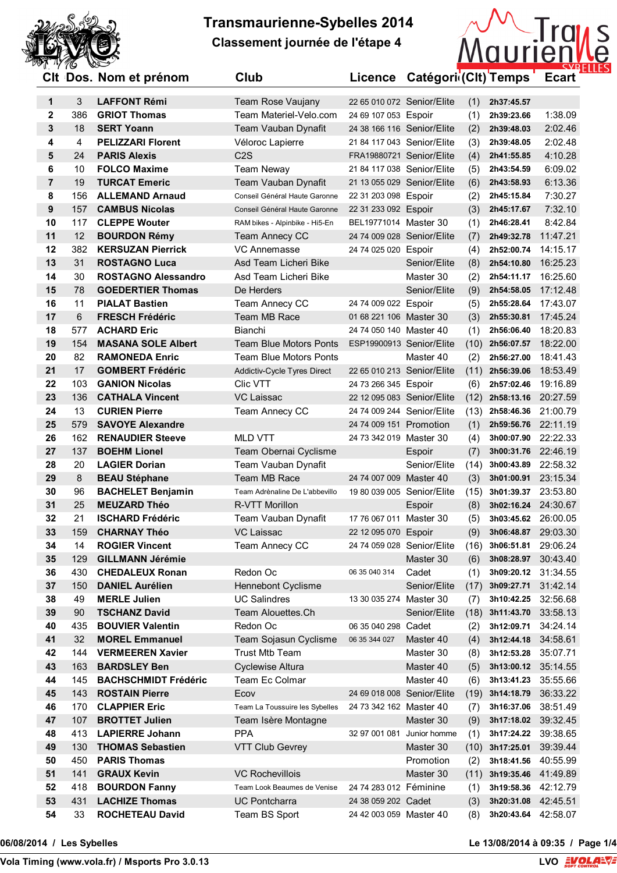



|    |                | <b>UIL DUS. NUILLEL PIELIUILL</b> | ∪ıuυ                           |                            | LICEIICE Calegorii(Cit) Feirips |                     | Euart    |
|----|----------------|-----------------------------------|--------------------------------|----------------------------|---------------------------------|---------------------|----------|
| 1  | 3              | <b>LAFFONT Rémi</b>               | Team Rose Vaujany              | 22 65 010 072 Senior/Elite | (1)                             | 2h37:45.57          |          |
| 2  | 386            | <b>GRIOT Thomas</b>               | Team Materiel-Velo.com         | 24 69 107 053 Espoir       | (1)                             | 2h39:23.66          | 1:38.09  |
| 3  | 18             | <b>SERT Yoann</b>                 | Team Vauban Dynafit            | 24 38 166 116 Senior/Elite | (2)                             | 2h39:48.03          | 2:02.46  |
| 4  | $\overline{4}$ | <b>PELIZZARI Florent</b>          | Véloroc Lapierre               | 21 84 117 043 Senior/Elite | (3)                             | 2h39:48.05          | 2:02.48  |
| 5  | 24             | <b>PARIS Alexis</b>               | C <sub>2</sub> S               | FRA19880721 Senior/Elite   | (4)                             | 2h41:55.85          | 4:10.28  |
| 6  | 10             | <b>FOLCO Maxime</b>               | Team Neway                     | 21 84 117 038 Senior/Elite | (5)                             | 2h43:54.59          | 6:09.02  |
| 7  | 19             | <b>TURCAT Emeric</b>              | Team Vauban Dynafit            | 21 13 055 029 Senior/Elite | (6)                             | 2h43:58.93          | 6:13.36  |
| 8  | 156            | <b>ALLEMAND Arnaud</b>            | Conseil Général Haute Garonne  | 22 31 203 098 Espoir       | (2)                             | 2h45:15.84          | 7:30.27  |
| 9  | 157            | <b>CAMBUS Nicolas</b>             | Conseil Général Haute Garonne  | 22 31 233 092 Espoir       | (3)                             | 2h45:17.67          | 7:32.10  |
| 10 | 117            | <b>CLEPPE Wouter</b>              | RAM bikes - Alpinbike - Hi5-En | BEL19771014 Master 30      | (1)                             | 2h46:28.41          | 8:42.84  |
| 11 | 12             | <b>BOURDON Rémy</b>               | <b>Team Annecy CC</b>          | 24 74 009 028 Senior/Elite | (7)                             | 2h49:32.78          | 11:47.21 |
| 12 | 382            | <b>KERSUZAN Pierrick</b>          | <b>VC Annemasse</b>            | 24 74 025 020 Espoir       | (4)                             | 2h52:00.74          | 14:15.17 |
| 13 | 31             | <b>ROSTAGNO Luca</b>              | Asd Team Licheri Bike          |                            | Senior/Elite<br>(8)             | 2h54:10.80          | 16:25.23 |
| 14 | 30             | <b>ROSTAGNO Alessandro</b>        | Asd Team Licheri Bike          |                            | Master 30<br>(2)                | 2h54:11.17          | 16:25.60 |
| 15 | 78             | <b>GOEDERTIER Thomas</b>          | De Herders                     |                            | Senior/Elite<br>(9)             | 2h54:58.05          | 17:12.48 |
| 16 | 11             | <b>PIALAT Bastien</b>             | Team Annecy CC                 | 24 74 009 022 Espoir       | (5)                             | 2h55:28.64          | 17:43.07 |
| 17 | $\,6\,$        | <b>FRESCH Frédéric</b>            | Team MB Race                   | 01 68 221 106 Master 30    | (3)                             | 2h55:30.81          | 17:45.24 |
| 18 | 577            | <b>ACHARD Eric</b>                | Bianchi                        | 24 74 050 140 Master 40    | (1)                             | 2h56:06.40          | 18:20.83 |
| 19 | 154            | <b>MASANA SOLE Albert</b>         | <b>Team Blue Motors Ponts</b>  | ESP19900913 Senior/Elite   | (10)                            | 2h56:07.57          | 18:22.00 |
| 20 | 82             | <b>RAMONEDA Enric</b>             | <b>Team Blue Motors Ponts</b>  |                            | Master 40<br>(2)                | 2h56:27.00          | 18:41.43 |
| 21 | 17             | <b>GOMBERT Frédéric</b>           | Addictiv-Cycle Tyres Direct    | 22 65 010 213 Senior/Elite | (11)                            | 2h56:39.06          | 18:53.49 |
| 22 | 103            | <b>GANION Nicolas</b>             | Clic VTT                       | 24 73 266 345 Espoir       | (6)                             | 2h57:02.46          | 19:16.89 |
| 23 | 136            | <b>CATHALA Vincent</b>            | <b>VC Laissac</b>              | 22 12 095 083 Senior/Elite | (12)                            | 2h58:13.16          | 20:27.59 |
| 24 | 13             | <b>CURIEN Pierre</b>              | Team Annecy CC                 | 24 74 009 244 Senior/Elite | (13)                            | 2h58:46.36          | 21:00.79 |
| 25 | 579            | <b>SAVOYE Alexandre</b>           |                                | 24 74 009 151 Promotion    | (1)                             | 2h59:56.76          | 22:11.19 |
| 26 | 162            | <b>RENAUDIER Steeve</b>           | <b>MLD VTT</b>                 | 24 73 342 019 Master 30    | (4)                             | 3h00:07.90 22:22.33 |          |
| 27 | 137            | <b>BOEHM Lionel</b>               | Team Obernai Cyclisme          |                            | (7)<br>Espoir                   | 3h00:31.76          | 22:46.19 |
| 28 | 20             | <b>LAGIER Dorian</b>              | Team Vauban Dynafit            |                            | Senior/Elite<br>(14)            | 3h00:43.89          | 22:58.32 |
| 29 | 8              | <b>BEAU Stéphane</b>              | Team MB Race                   | 24 74 007 009 Master 40    | (3)                             | 3h01:00.91          | 23:15.34 |
| 30 | 96             | <b>BACHELET Benjamin</b>          | Team Adrènaline De L'abbevillo | 19 80 039 005 Senior/Elite | (15)                            | 3h01:39.37          | 23:53.80 |
| 31 | 25             | <b>MEUZARD Théo</b>               | R-VTT Morillon                 |                            | (8)<br>Espoir                   | 3h02:16.24 24:30.67 |          |
| 32 | 21             | <b>ISCHARD Frédéric</b>           | Team Vauban Dynafit            | 17 76 067 011 Master 30    | (5)                             | 3h03:45.62 26:00.05 |          |
| 33 | 159            | <b>CHARNAY Théo</b>               | <b>VC Laissac</b>              | 22 12 095 070 Espoir       | (9)                             | 3h06:48.87 29:03.30 |          |
| 34 | 14             | <b>ROGIER Vincent</b>             | Team Annecy CC                 | 24 74 059 028 Senior/Elite |                                 | $(16)$ 3h06:51.81   | 29:06.24 |
| 35 | 129            | <b>GILLMANN Jérémie</b>           |                                |                            | Master 30<br>(6)                | 3h08:28.97          | 30:43.40 |
| 36 | 430            | <b>CHEDALEUX Ronan</b>            | Redon Oc                       | 06 35 040 314              | Cadet<br>(1)                    | 3h09:20.12          | 31:34.55 |
| 37 | 150            | <b>DANIEL Aurélien</b>            | <b>Hennebont Cyclisme</b>      |                            | Senior/Elite<br>(17)            | 3h09:27.71          | 31:42.14 |
| 38 | 49             | <b>MERLE Julien</b>               | <b>UC Salindres</b>            | 13 30 035 274 Master 30    | (7)                             | 3h10:42.25          | 32:56.68 |
| 39 | 90             | <b>TSCHANZ David</b>              | Team Alouettes.Ch              |                            | Senior/Elite<br>(18)            | 3h11:43.70          | 33:58.13 |
| 40 | 435            | <b>BOUVIER Valentin</b>           | Redon Oc                       | 06 35 040 298 Cadet        | (2)                             | 3h12:09.71          | 34:24.14 |
| 41 | 32             | <b>MOREL Emmanuel</b>             | Team Sojasun Cyclisme          | 06 35 344 027              | Master 40<br>(4)                | 3h12:44.18          | 34:58.61 |
| 42 | 144            | <b>VERMEEREN Xavier</b>           | <b>Trust Mtb Team</b>          |                            | Master 30<br>(8)                | 3h12:53.28          | 35:07.71 |
| 43 | 163            | <b>BARDSLEY Ben</b>               | Cyclewise Altura               |                            | Master 40<br>(5)                | 3h13:00.12          | 35:14.55 |
| 44 | 145            | <b>BACHSCHMIDT Frédéric</b>       | Team Ec Colmar                 |                            | Master 40<br>(6)                | 3h13:41.23          | 35:55.66 |
| 45 | 143            | <b>ROSTAIN Pierre</b>             | Ecov                           | 24 69 018 008 Senior/Elite | (19)                            | 3h14:18.79          | 36:33.22 |
| 46 | 170            | <b>CLAPPIER Eric</b>              | Team La Toussuire les Sybelles | 24 73 342 162 Master 40    | (7)                             | 3h16:37.06          | 38:51.49 |
| 47 | 107            | <b>BROTTET Julien</b>             | Team Isère Montagne            |                            | Master 30<br>(9)                | 3h17:18.02          | 39:32.45 |
| 48 | 413            | <b>LAPIERRE Johann</b>            | <b>PPA</b>                     | 32 97 001 081              | (1)<br>Junior homme             | 3h17:24.22          | 39:38.65 |
| 49 | 130            | <b>THOMAS Sebastien</b>           | <b>VTT Club Gevrey</b>         |                            | Master 30<br>(10)               | 3h17:25.01          | 39:39.44 |
| 50 | 450            | <b>PARIS Thomas</b>               |                                |                            | Promotion                       | 3h18:41.56          | 40:55.99 |
| 51 | 141            | <b>GRAUX Kevin</b>                | <b>VC Rochevillois</b>         |                            | (2)<br>Master 30<br>(11)        | 3h19:35.46 41:49.89 |          |
| 52 | 418            | <b>BOURDON Fanny</b>              | Team Look Beaumes de Venise    | 24 74 283 012 Féminine     |                                 | 3h19:58.36          | 42:12.79 |
| 53 | 431            | <b>LACHIZE Thomas</b>             | <b>UC Pontcharra</b>           | 24 38 059 202 Cadet        | (1)                             | 3h20:31.08          |          |
| 54 |                |                                   |                                |                            | (3)                             |                     | 42:45.51 |
|    | 33             | <b>ROCHETEAU David</b>            | Team BS Sport                  | 24 42 003 059 Master 40    | (8)                             | 3h20:43.64 42:58.07 |          |

**Vola Timing (www.vola.fr) / Msports Pro 3.0.13 LVO**

**VolaSoftControlPdf 06/08/2014 / Les Sybelles Le 13/08/2014 à 09:35 / Page 1/4**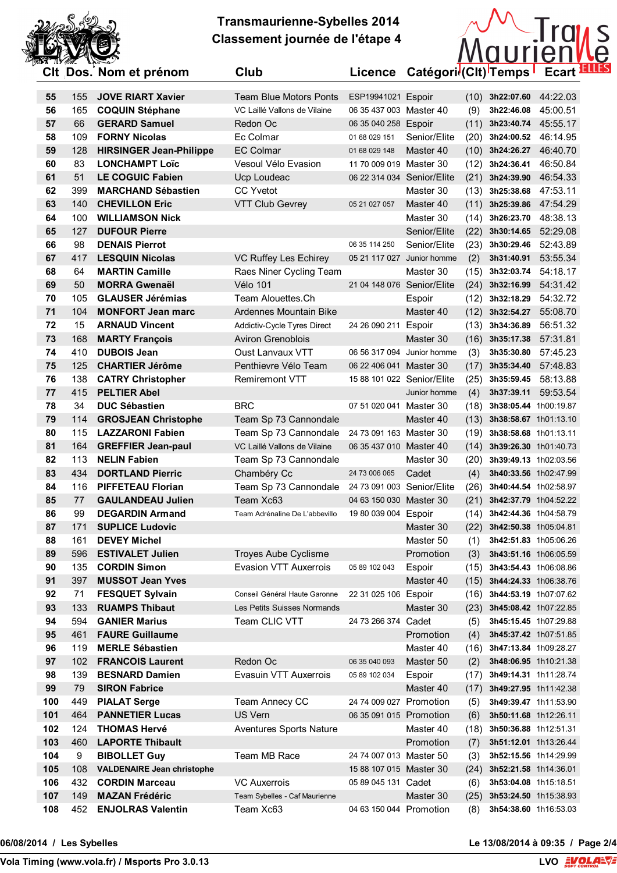



|          |            | וווטווט וע וווטור הטטען טוש                    |                                              |                            | Licence Categori (Oit) remps |              |                            |          |
|----------|------------|------------------------------------------------|----------------------------------------------|----------------------------|------------------------------|--------------|----------------------------|----------|
| 55       | 155        | <b>JOVE RIART Xavier</b>                       | <b>Team Blue Motors Ponts</b>                | ESP19941021 Espoir         |                              |              | $(10)$ 3h22:07.60 44:22.03 |          |
| 56       | 165        | <b>COQUIN Stéphane</b>                         | VC Laillé Vallons de Vilaine                 | 06 35 437 003 Master 40    |                              | (9)          | 3h22:46.08                 | 45:00.51 |
| 57       | 66         | <b>GERARD Samuel</b>                           | Redon Oc                                     | 06 35 040 258 Espoir       |                              | (11)         | 3h23:40.74                 | 45:55.17 |
| 58       | 109        | <b>FORNY Nicolas</b>                           | Ec Colmar                                    | 01 68 029 151              | Senior/Elite                 | (20)         | 3h24:00.52                 | 46:14.95 |
| 59       | 128        | <b>HIRSINGER Jean-Philippe</b>                 | <b>EC Colmar</b>                             | 01 68 029 148              | Master 40                    | (10)         | 3h24:26.27                 | 46:40.70 |
| 60       | 83         | <b>LONCHAMPT Loïc</b>                          | Vesoul Vélo Evasion                          | 11 70 009 019 Master 30    |                              | (12)         | 3h24:36.41                 | 46:50.84 |
| 61       | 51         | <b>LE COGUIC Fabien</b>                        | Ucp Loudeac                                  | 06 22 314 034 Senior/Elite |                              | (21)         | 3h24:39.90                 | 46:54.33 |
| 62       | 399        | <b>MARCHAND Sébastien</b>                      | <b>CC Yvetot</b>                             |                            | Master 30                    |              | $(13)$ 3h25:38.68          | 47:53.11 |
| 63       | 140        | <b>CHEVILLON Eric</b>                          | VTT Club Gevrey                              | 05 21 027 057              | Master 40                    |              | $(11)$ 3h25:39.86 47:54.29 |          |
| 64       | 100        | <b>WILLIAMSON Nick</b>                         |                                              |                            | Master 30                    |              | $(14)$ 3h26:23.70          | 48:38.13 |
| 65       | 127        | <b>DUFOUR Pierre</b>                           |                                              |                            | Senior/Elite                 | (22)         | 3h30:14.65                 | 52:29.08 |
| 66       | 98         | <b>DENAIS Pierrot</b>                          |                                              | 06 35 114 250              | Senior/Elite                 | (23)         | 3h30:29.46                 | 52:43.89 |
| 67       | 417        | <b>LESQUIN Nicolas</b>                         | VC Ruffey Les Echirey                        | 05 21 117 027 Junior homme |                              | (2)          | 3h31:40.91                 | 53:55.34 |
| 68       | 64         | <b>MARTIN Camille</b>                          | Raes Niner Cycling Team                      |                            | Master 30                    | (15)         | 3h32:03.74                 | 54:18.17 |
| 69       | 50         | <b>MORRA Gwenaël</b>                           | <b>Vélo 101</b>                              | 21 04 148 076 Senior/Elite |                              | (24)         | 3h32:16.99                 | 54:31.42 |
| 70       | 105        | <b>GLAUSER Jérémias</b>                        | Team Alouettes.Ch                            |                            | Espoir                       | (12)         | 3h32:18.29                 | 54:32.72 |
| 71       | 104        | <b>MONFORT Jean marc</b>                       | Ardennes Mountain Bike                       |                            | Master 40                    | (12)         | 3h32:54.27                 | 55:08.70 |
| 72       | 15         | <b>ARNAUD Vincent</b>                          | Addictiv-Cycle Tyres Direct                  | 24 26 090 211              | Espoir                       |              | $(13)$ 3h34:36.89          | 56:51.32 |
| 73       | 168        | <b>MARTY François</b>                          | <b>Aviron Grenoblois</b>                     |                            | Master 30                    | (16)         | 3h35:17.38                 | 57:31.81 |
| 74       | 410        | <b>DUBOIS Jean</b>                             | <b>Oust Lanvaux VTT</b>                      |                            | 06 56 317 094 Junior homme   | (3)          | 3h35:30.80                 | 57:45.23 |
| 75       | 125        | <b>CHARTIER Jérôme</b>                         | Penthievre Vélo Team                         | 06 22 406 041 Master 30    |                              |              | $(17)$ 3h35:34.40          | 57:48.83 |
| 76       | 138        | <b>CATRY Christopher</b>                       | <b>Remiremont VTT</b>                        | 15 88 101 022 Senior/Elite |                              | (25)         | 3h35:59.45                 | 58:13.88 |
| 77       | 415        | <b>PELTIER Abel</b>                            |                                              |                            | Junior homme                 | (4)          | 3h37:39.11                 | 59:53.54 |
| 78       | 34         | <b>DUC Sébastien</b>                           | <b>BRC</b>                                   | 07 51 020 041 Master 30    |                              | (18)         | 3h38:05.44 1h00:19.87      |          |
| 79       | 114        | <b>GROSJEAN Christophe</b>                     | Team Sp 73 Cannondale                        |                            | Master 40                    | (13)         | 3h38:58.67 1h01:13.10      |          |
| 80       | 115        | <b>LAZZARONI Fabien</b>                        | Team Sp 73 Cannondale                        | 24 73 091 163 Master 30    |                              | (19)         | 3h38:58.68 1h01:13.11      |          |
| 81       | 164        | <b>GREFFIER Jean-paul</b>                      | VC Laillé Vallons de Vilaine                 | 06 35 437 010 Master 40    |                              | (14)         | 3h39:26.30 1h01:40.73      |          |
| 82       | 113        | <b>NELIN Fabien</b>                            | Team Sp 73 Cannondale                        |                            | Master 30                    | (20)         | 3h39:49.13 1h02:03.56      |          |
| 83       | 434        | <b>DORTLAND Pierric</b>                        | Chambéry Cc                                  | 24 73 006 065              | Cadet                        | (4)          | 3h40:33.56 1h02:47.99      |          |
| 84       | 116        | <b>PIFFETEAU Florian</b>                       | Team Sp 73 Cannondale                        | 24 73 091 003 Senior/Elite |                              | (26)         | 3h40:44.54 1h02:58.97      |          |
| 85       | 77         | <b>GAULANDEAU Julien</b>                       | Team Xc63                                    | 04 63 150 030 Master 30    |                              |              | 3h42:37.79 1h04:52.22      |          |
| 86       | 99         | <b>DEGARDIN Armand</b>                         | Team Adrénaline De L'abbevillo               |                            |                              | (21)<br>(14) | 3h42:44.36 1h04:58.79      |          |
| 87       | 171        | <b>SUPLICE Ludovic</b>                         |                                              | 19 80 039 004 Espoir       | Master 30                    |              | (22) 3h42:50.38 1h05:04.81 |          |
| 88       | 161        | <b>DEVEY Michel</b>                            |                                              |                            | Master 50                    | (1)          | 3h42:51.83 1h05:06.26      |          |
|          | 596        |                                                | <b>Troyes Aube Cyclisme</b>                  |                            | Promotion                    |              | 3h43:51.16 1h06:05.59      |          |
| 89       |            | <b>ESTIVALET Julien</b>                        |                                              |                            |                              | (3)          |                            |          |
| 90<br>91 | 135<br>397 | <b>CORDIN Simon</b><br><b>MUSSOT Jean Yves</b> | <b>Evasion VTT Auxerrois</b>                 | 05 89 102 043              | Espoir<br>Master 40          | (15)         | 3h43:54.43 1h06:08.86      |          |
|          |            |                                                | Conseil Général Haute Garonne                |                            |                              | (15)         | 3h44:24.33 1h06:38.76      |          |
| 92       | 71         | <b>FESQUET Sylvain</b>                         |                                              | 22 31 025 106              | Espoir                       | (16)         | 3h44:53.19 1h07:07.62      |          |
| 93       | 133        | <b>RUAMPS Thibaut</b>                          | Les Petits Suisses Normands<br>Team CLIC VTT |                            | Master 30                    | (23)         | 3h45:08.42 1h07:22.85      |          |
| 94       | 594        | <b>GANIER Marius</b>                           |                                              | 24 73 266 374 Cadet        |                              | (5)          | 3h45:15.45 1h07:29.88      |          |
| 95       | 461        | <b>FAURE Guillaume</b>                         |                                              |                            | Promotion                    | (4)          | 3h45:37.42 1h07:51.85      |          |
| 96       | 119        | <b>MERLE Sébastien</b>                         |                                              |                            | Master 40                    | (16)         | 3h47:13.84 1h09:28.27      |          |
| 97       | 102        | <b>FRANCOIS Laurent</b>                        | Redon Oc                                     | 06 35 040 093              | Master 50                    | (2)          | 3h48:06.95 1h10:21.38      |          |
| 98       | 139        | <b>BESNARD Damien</b>                          | Evasuin VTT Auxerrois                        | 05 89 102 034              | Espoir                       | (17)         | 3h49:14.31 1h11:28.74      |          |
| 99       | 79         | <b>SIRON Fabrice</b>                           |                                              |                            | Master 40                    | (17)         | 3h49:27.95 1h11:42.38      |          |
| 100      | 449        | <b>PIALAT Serge</b>                            | Team Annecy CC                               | 24 74 009 027 Promotion    |                              | (5)          | 3h49:39.47 1h11:53.90      |          |
| 101      | 464        | <b>PANNETIER Lucas</b>                         | US Vern                                      | 06 35 091 015 Promotion    |                              | (6)          | 3h50:11.68 1h12:26.11      |          |
| 102      | 124        | <b>THOMAS Hervé</b>                            | Aventures Sports Nature                      |                            | Master 40                    | (18)         | 3h50:36.88 1h12:51.31      |          |
| 103      | 460        | <b>LAPORTE Thibault</b>                        |                                              |                            | Promotion                    | (7)          | 3h51:12.01 1h13:26.44      |          |
| 104      | 9          | <b>BIBOLLET Guy</b>                            | Team MB Race                                 | 24 74 007 013 Master 50    |                              | (3)          | 3h52:15.56 1h14:29.99      |          |
| 105      | 108        | <b>VALDENAIRE Jean christophe</b>              |                                              | 15 88 107 015 Master 30    |                              | (24)         | 3h52:21.58 1h14:36.01      |          |
| 106      | 432        | <b>CORDIN Marceau</b>                          | <b>VC Auxerrois</b>                          | 05 89 045 131 Cadet        |                              | (6)          | 3h53:04.08 1h15:18.51      |          |
| 107      | 149        | <b>MAZAN Frédéric</b>                          | Team Sybelles - Caf Maurienne                |                            | Master 30                    | (25)         | 3h53:24.50 1h15:38.93      |          |
| 108      | 452        | <b>ENJOLRAS Valentin</b>                       | Team Xc63                                    | 04 63 150 044 Promotion    |                              | (8)          | 3h54:38.60 1h16:53.03      |          |

**VolaSoftControlPdf 06/08/2014 / Les Sybelles Le 13/08/2014 à 09:35 / Page 2/4**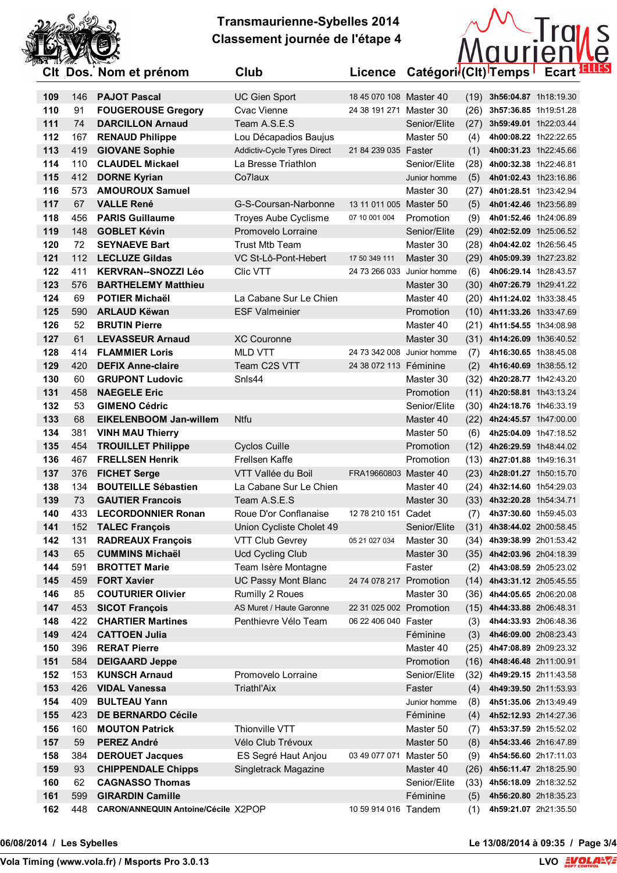



|            |           | Cit Dos. Nom et prenom                             | Ciup                                              | Licence                    | Categori (Cit) I emps " |      |                                                     | Ecart <b>—</b> |  |
|------------|-----------|----------------------------------------------------|---------------------------------------------------|----------------------------|-------------------------|------|-----------------------------------------------------|----------------|--|
| 109        | 146       | <b>PAJOT Pascal</b>                                | <b>UC Gien Sport</b>                              | 18 45 070 108 Master 40    |                         |      | $(19)$ 3h56:04.87 1h18:19.30                        |                |  |
| 110        | 91        | <b>FOUGEROUSE Gregory</b>                          | Cvac Vienne                                       | 24 38 191 271 Master 30    |                         | (26) | 3h57:36.85 1h19:51.28                               |                |  |
| 111        | 74        | <b>DARCILLON Arnaud</b>                            | Team A.S.E.S                                      |                            | Senior/Elite            | (27) | 3h59:49.01 1h22:03.44                               |                |  |
| 112        | 167       | <b>RENAUD Philippe</b>                             | Lou Décapadios Baujus                             |                            | Master 50               | (4)  | 4h00:08.22 1h22:22.65                               |                |  |
| 113        | 419       | <b>GIOVANE Sophie</b>                              | Addictiv-Cycle Tyres Direct                       | 21 84 239 035 Faster       |                         | (1)  | 4h00:31.23 1h22:45.66                               |                |  |
| 114        | 110       | <b>CLAUDEL Mickael</b>                             | La Bresse Triathlon                               |                            | Senior/Elite            | (28) | 4h00:32.38 1h22:46.81                               |                |  |
| 115        | 412       | <b>DORNE Kyrian</b>                                | Co7laux                                           |                            | Junior homme            | (5)  | 4h01:02.43 1h23:16.86                               |                |  |
| 116        | 573       | <b>AMOUROUX Samuel</b>                             |                                                   |                            | Master 30               | (27) | 4h01:28.51 1h23:42.94                               |                |  |
| 117        | 67        | <b>VALLE René</b>                                  | G-S-Coursan-Narbonne                              | 13 11 011 005 Master 50    |                         | (5)  | 4h01:42.46 1h23:56.89                               |                |  |
| 118        | 456       | <b>PARIS Guillaume</b>                             | <b>Troyes Aube Cyclisme</b>                       | 07 10 001 004              | Promotion               | (9)  | 4h01:52.46 1h24:06.89                               |                |  |
| 119        | 148       | <b>GOBLET Kévin</b>                                | Promovelo Lorraine                                |                            | Senior/Elite            |      | (29) 4h02:52.09 1h25:06.52                          |                |  |
| 120        | 72        | <b>SEYNAEVE Bart</b>                               | <b>Trust Mtb Team</b>                             |                            | Master 30               | (28) | 4h04:42.02 1h26:56.45                               |                |  |
| 121        | 112       | <b>LECLUZE Gildas</b>                              | VC St-Lô-Pont-Hebert                              | 17 50 349 111              | Master 30               | (29) | 4h05:09.39 1h27:23.82                               |                |  |
| 122        | 411       | <b>KERVRAN--SNOZZI Léo</b>                         | Clic VTT                                          | 24 73 266 033              | Junior homme            | (6)  | 4h06:29.14 1h28:43.57                               |                |  |
| 123        | 576       | <b>BARTHELEMY Matthieu</b>                         |                                                   |                            | Master 30               | (30) | 4h07:26.79 1h29:41.22                               |                |  |
| 124        | 69        | <b>POTIER Michaël</b>                              | La Cabane Sur Le Chien                            |                            | Master 40               |      | (20) 4h11:24.02 1h33:38.45                          |                |  |
| 125        | 590       | <b>ARLAUD Këwan</b>                                | <b>ESF Valmeinier</b>                             |                            | Promotion               |      | $(10)$ 4h11:33.26 1h33:47.69                        |                |  |
| 126        | 52        | <b>BRUTIN Pierre</b>                               |                                                   |                            | Master 40               |      | (21) 4h11:54.55 1h34:08.98                          |                |  |
| 127        | 61        | <b>LEVASSEUR Arnaud</b>                            | <b>XC Couronne</b>                                |                            | Master 30               |      | (31) 4h14:26.09 1h36:40.52                          |                |  |
| 128        | 414       | <b>FLAMMIER Loris</b>                              | <b>MLD VTT</b>                                    | 24 73 342 008 Junior homme |                         | (7)  | 4h16:30.65 1h38:45.08                               |                |  |
| 129        | 420       | <b>DEFIX Anne-claire</b>                           | Team C2S VTT                                      | 24 38 072 113 Féminine     |                         | (2)  | 4h16:40.69 1h38:55.12                               |                |  |
| 130        | 60        | <b>GRUPONT Ludovic</b>                             | Snls44                                            |                            | Master 30               | (32) | 4h20:28.77 1h42:43.20                               |                |  |
| 131        | 458       | <b>NAEGELE Eric</b>                                |                                                   |                            | Promotion               |      | $(11)$ 4h20:58.81 1h43:13.24                        |                |  |
| 132        | 53        | <b>GIMENO Cédric</b>                               |                                                   |                            | Senior/Elite            |      | (30) 4h24:18.76 1h46:33.19                          |                |  |
| 133        | 68        | <b>EIKELENBOOM Jan-willem</b>                      | <b>Ntfu</b>                                       |                            | Master 40               | (22) | 4h24:45.57 1h47:00.00                               |                |  |
| 134        | 381       | <b>VINH MAU Thierry</b>                            |                                                   |                            | Master 50               | (6)  | 4h25:04.09 1h47:18.52                               |                |  |
| 135        | 454       | <b>TROUILLET Philippe</b>                          | <b>Cyclos Cuille</b>                              |                            | Promotion               | (12) | 4h26:29.59 1h48:44.02                               |                |  |
| 136        | 467       | <b>FRELLSEN Henrik</b>                             | Frellsen Kaffe                                    |                            | Promotion               | (13) | 4h27:01.88 1h49:16.31                               |                |  |
| 137        | 376       | <b>FICHET Serge</b>                                | VTT Vallée du Boil                                | FRA19660803 Master 40      |                         |      | (23) 4h28:01.27 1h50:15.70                          |                |  |
| 138        | 134       | <b>BOUTEILLE Sébastien</b>                         | La Cabane Sur Le Chien                            |                            | Master 40               |      | (24) 4h32:14.60 1h54:29.03                          |                |  |
| 139        | 73        | <b>GAUTIER Francois</b>                            | Team A.S.E.S<br>Roue D'or Conflanaise             |                            | Master 30               |      | (33) 4h32:20.28 1h54:34.71                          |                |  |
| 140        | 433       | <b>LECORDONNIER Ronan</b><br><b>TALEC François</b> |                                                   | 12 78 210 151 Cadet        |                         | (7)  | 4h37:30.60 1h59:45.03<br>(31) 4h38:44.02 2h00:58.45 |                |  |
| 141<br>142 | 152       | <b>RADREAUX François</b>                           | Union Cycliste Cholet 49                          | 05 21 027 034              | Senior/Elite            |      |                                                     |                |  |
| 143        | 131<br>65 | <b>CUMMINS Michaël</b>                             | <b>VTT Club Gevrey</b><br><b>Ucd Cycling Club</b> |                            | Master 30<br>Master 30  | (34) | 4h39:38.99 2h01:53.42<br>(35) 4h42:03.96 2h04:18.39 |                |  |
| 144        | 591       | <b>BROTTET Marie</b>                               | Team Isère Montagne                               |                            | Faster                  | (2)  | 4h43:08.59 2h05:23.02                               |                |  |
| 145        | 459       | <b>FORT Xavier</b>                                 | <b>UC Passy Mont Blanc</b>                        | 24 74 078 217 Promotion    |                         |      | $(14)$ 4h43:31.12 2h05:45.55                        |                |  |
| 146        | 85        | <b>COUTURIER Olivier</b>                           | Rumilly 2 Roues                                   |                            | Master 30               |      | (36) 4h44:05.65 2h06:20.08                          |                |  |
| 147        | 453       | <b>SICOT François</b>                              | AS Muret / Haute Garonne                          | 22 31 025 002 Promotion    |                         |      | (15) 4h44:33.88 2h06:48.31                          |                |  |
| 148        | 422       | <b>CHARTIER Martines</b>                           | Penthievre Vélo Team                              | 06 22 406 040 Faster       |                         | (3)  | 4h44:33.93 2h06:48.36                               |                |  |
| 149        | 424       | <b>CATTOEN Julia</b>                               |                                                   |                            | Féminine                | (3)  | 4h46:09.00 2h08:23.43                               |                |  |
| 150        | 396       | <b>RERAT Pierre</b>                                |                                                   |                            | Master 40               |      | (25) 4h47:08.89 2h09:23.32                          |                |  |
| 151        | 584       | <b>DEIGAARD Jeppe</b>                              |                                                   |                            | Promotion               |      | $(16)$ 4h48:46.48 2h11:00.91                        |                |  |
| 152        | 153       | <b>KUNSCH Arnaud</b>                               | Promovelo Lorraine                                |                            | Senior/Elite            |      | (32) 4h49:29.15 2h11:43.58                          |                |  |
| 153        | 426       | <b>VIDAL Vanessa</b>                               | Triathl'Aix                                       |                            | Faster                  | (4)  | 4h49:39.50 2h11:53.93                               |                |  |
| 154        | 409       | <b>BULTEAU Yann</b>                                |                                                   |                            | Junior homme            | (8)  | 4h51:35.06 2h13:49.49                               |                |  |
| 155        | 423       | <b>DE BERNARDO Cécile</b>                          |                                                   |                            | Féminine                | (4)  | 4h52:12.93 2h14:27.36                               |                |  |
| 156        | 160       | <b>MOUTON Patrick</b>                              | Thionville VTT                                    |                            | Master 50               | (7)  | 4h53:37.59 2h15:52.02                               |                |  |
| 157        | 59        | <b>PEREZ André</b>                                 | Vélo Club Trévoux                                 |                            | Master 50               | (8)  | 4h54:33.46 2h16:47.89                               |                |  |
| 158        | 384       | <b>DEROUET Jacques</b>                             | ES Segré Haut Anjou                               | 03 49 077 071              | Master 50               | (9)  | 4h54:56.60 2h17:11.03                               |                |  |
| 159        | 93        | <b>CHIPPENDALE Chipps</b>                          | Singletrack Magazine                              |                            | Master 40               |      | (26) 4h56:11.47 2h18:25.90                          |                |  |
| 160        | 62        | <b>CAGNASSO Thomas</b>                             |                                                   |                            | Senior/Elite            | (33) | 4h56:18.09 2h18:32.52                               |                |  |
| 161        | 599       | <b>GIRARDIN Camille</b>                            |                                                   |                            | Féminine                | (5)  | 4h56:20.80 2h18:35.23                               |                |  |
| 162        | 448       | CARON/ANNEQUIN Antoine/Cécile X2POP                |                                                   | 10 59 914 016 Tandem       |                         | (1)  | 4h59:21.07 2h21:35.50                               |                |  |

**VolaSoftControlPdf 06/08/2014 / Les Sybelles Le 13/08/2014 à 09:35 / Page 3/4**